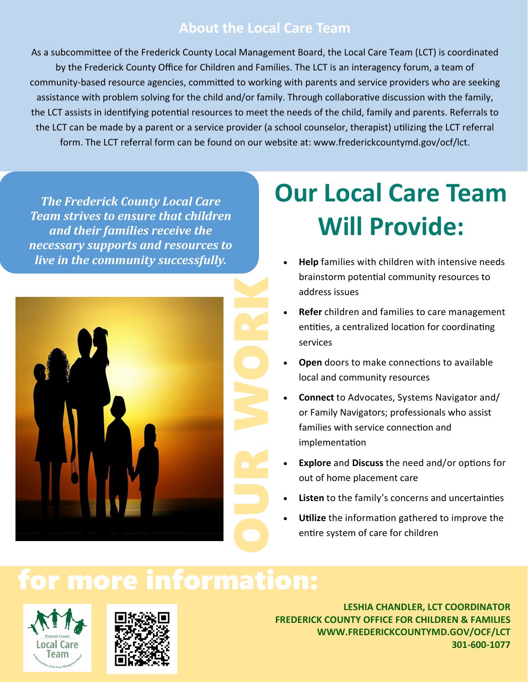#### **About the Local Care Team**

As a subcommittee of the Frederick County Local Management Board, the Local Care Team (LCT) is coordinated by the Frederick County Office for Children and Families. The LCT is an interagency forum, a team of community-based resource agencies, committed to working with parents and service providers who are seeking assistance with problem solving for the child and/or family. Through collaborative discussion with the family, the LCT assists in identifying potential resources to meet the needs of the child, family and parents. Referrals to the LCT can be made by a parent or a service provider (a school counselor, therapist) utilizing the LCT referral form. The LCT referral form can be found on our website at: www.frederickcountymd.gov/ocf/lct.

*The Frederick County Local Care Team strives to ensure that children and their families receive the necessary supports and resources to live in the community successfully.*



# **Our Local Care Team Will Provide:**

- **Help** families with children with intensive needs brainstorm potential community resources to address issues
- **Refer** children and families to care management entities, a centralized location for coordinating services
- **Open** doors to make connections to available local and community resources
- **Connect** to Advocates, Systems Navigator and/ or Family Navigators; professionals who assist families with service connection and implementation
- **Explore** and **Discuss** the need and/or options for out of home placement care
- Listen to the family's concerns and uncertainties
- **Utilize** the information gathered to improve the entire system of care for children

## for more information:





**LESHIA CHANDLER, LCT COORDINATOR FREDERICK COUNTY OFFICE FOR CHILDREN & FAMILIES WWW.FREDERICKCOUNTYMD.GOV/OCF/LCT 301‐600‐1077**